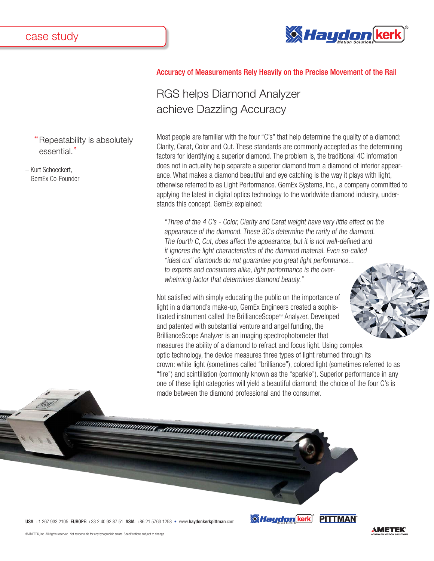essential."

– Kurt Schoeckert, GemEx Co-Founder

Repeatability is absolutely



## Accuracy of Measurements Rely Heavily on the Precise Movement of the Rail

## RGS helps Diamond Analyzer achieve Dazzling Accuracy

Most people are familiar with the four "C's" that help determine the quality of a diamond: Clarity, Carat, Color and Cut. These standards are commonly accepted as the determining factors for identifying a superior diamond. The problem is, the traditional 4C information does not in actuality help separate a superior diamond from a diamond of inferior appearance. What makes a diamond beautiful and eye catching is the way it plays with light, otherwise referred to as Light Performance. GemEx Systems, Inc., a company committed to applying the latest in digital optics technology to the worldwide diamond industry, understands this concept. GemEx explained:

"Three of the 4 C's - Color, Clarity and Carat weight have very little effect on the appearance of the diamond. These 3C's determine the rarity of the diamond. The fourth C, Cut, does affect the appearance, but it is not well-defined and it ignores the light characteristics of the diamond material. Even so-called "ideal cut" diamonds do not guarantee you great light performance... to experts and consumers alike, light performance is the overwhelming factor that determines diamond beauty."

Not satisfied with simply educating the public on the importance of light in a diamond's make-up, GemEx Engineers created a sophisticated instrument called the BrillianceScope™ Analyzer. Developed and patented with substantial venture and angel funding, the BrillianceScope Analyzer is an imaging spectrophotometer that measures the ability of a diamond to refract and focus light. Using complex



optic technology, the device measures three types of light returned through its crown: white light (sometimes called "brilliance"), colored light (sometimes referred to as "fire") and scintillation (commonly known as the "sparkle"). Superior performance in any one of these light categories will yield a beautiful diamond; the choice of the four C's is made between the diamond professional and the consumer.

*Maydon* (kerk)

USA: +1 267 933 2105 EUROPE: +33 2 40 92 87 51 ASIA: +86 21 5763 1258 • www.haydonkerkpittman.com



**PITTMAN**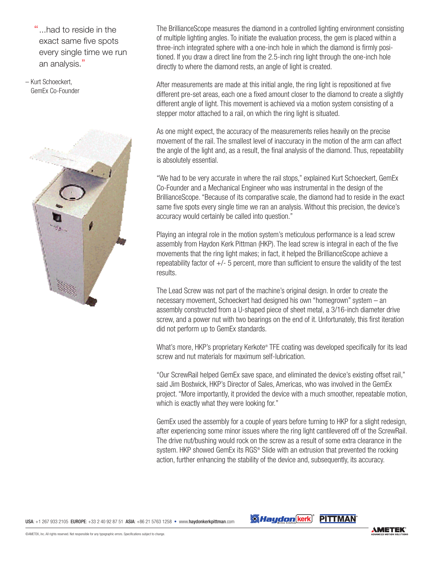"...had to reside in the exact same five spots every single time we run an analysis."

– Kurt Schoeckert, GemEx Co-Founder



The BrillianceScope measures the diamond in a controlled lighting environment consisting of multiple lighting angles. To initiate the evaluation process, the gem is placed within a three-inch integrated sphere with a one-inch hole in which the diamond is firmly positioned. If you draw a direct line from the 2.5-inch ring light through the one-inch hole directly to where the diamond rests, an angle of light is created.

After measurements are made at this initial angle, the ring light is repositioned at five different pre-set areas, each one a fixed amount closer to the diamond to create a slightly different angle of light. This movement is achieved via a motion system consisting of a stepper motor attached to a rail, on which the ring light is situated.

As one might expect, the accuracy of the measurements relies heavily on the precise movement of the rail. The smallest level of inaccuracy in the motion of the arm can affect the angle of the light and, as a result, the final analysis of the diamond. Thus, repeatability is absolutely essential.

"We had to be very accurate in where the rail stops," explained Kurt Schoeckert, GemEx Co-Founder and a Mechanical Engineer who was instrumental in the design of the BrillianceScope. "Because of its comparative scale, the diamond had to reside in the exact same five spots every single time we ran an analysis. Without this precision, the device's accuracy would certainly be called into question."

Playing an integral role in the motion system's meticulous performance is a lead screw assembly from Haydon Kerk Pittman (HKP). The lead screw is integral in each of the five movements that the ring light makes; in fact, it helped the BrillianceScope achieve a repeatability factor of  $+/-$  5 percent, more than sufficient to ensure the validity of the test results.

The Lead Screw was not part of the machine's original design. In order to create the necessary movement, Schoeckert had designed his own "homegrown" system – an assembly constructed from a U-shaped piece of sheet metal, a 3/16-inch diameter drive screw, and a power nut with two bearings on the end of it. Unfortunately, this first iteration did not perform up to GemEx standards.

What's more, HKP's proprietary Kerkote® TFE coating was developed specifically for its lead screw and nut materials for maximum self-lubrication.

"Our ScrewRail helped GemEx save space, and eliminated the device's existing offset rail," said Jim Bostwick, HKP's Director of Sales, Americas, who was involved in the GemEx project. "More importantly, it provided the device with a much smoother, repeatable motion, which is exactly what they were looking for."

GemEx used the assembly for a couple of years before turning to HKP for a slight redesign, after experiencing some minor issues where the ring light cantilevered off of the ScrewRail. The drive nut/bushing would rock on the screw as a result of some extra clearance in the system. HKP showed GemEx its RGS® Slide with an extrusion that prevented the rocking action, further enhancing the stability of the device and, subsequently, its accuracy.

*Maudon* kerk PITTMAN

USA: +1 267 933 2105 EUROPE: +33 2 40 92 87 51 ASIA: +86 21 5763 1258 • www.haydonkerkpittman.com